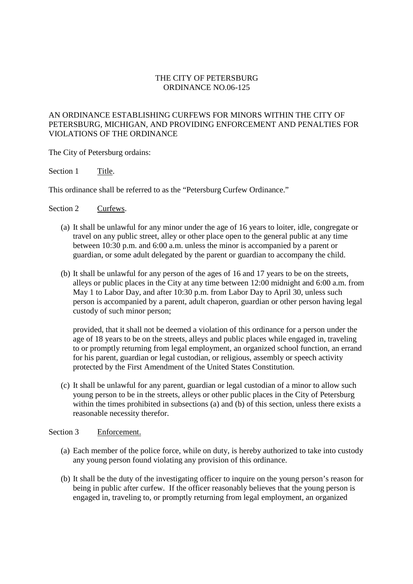## THE CITY OF PETERSBURG ORDINANCE NO.06-125

## AN ORDINANCE ESTABLISHING CURFEWS FOR MINORS WITHIN THE CITY OF PETERSBURG, MICHIGAN, AND PROVIDING ENFORCEMENT AND PENALTIES FOR VIOLATIONS OF THE ORDINANCE

The City of Petersburg ordains:

Section 1 Title.

This ordinance shall be referred to as the "Petersburg Curfew Ordinance."

Section 2 Curfews.

- (a) It shall be unlawful for any minor under the age of 16 years to loiter, idle, congregate or travel on any public street, alley or other place open to the general public at any time between 10:30 p.m. and 6:00 a.m. unless the minor is accompanied by a parent or guardian, or some adult delegated by the parent or guardian to accompany the child.
- (b) It shall be unlawful for any person of the ages of 16 and 17 years to be on the streets, alleys or public places in the City at any time between 12:00 midnight and 6:00 a.m. from May 1 to Labor Day, and after 10:30 p.m. from Labor Day to April 30, unless such person is accompanied by a parent, adult chaperon, guardian or other person having legal custody of such minor person;

provided, that it shall not be deemed a violation of this ordinance for a person under the age of 18 years to be on the streets, alleys and public places while engaged in, traveling to or promptly returning from legal employment, an organized school function, an errand for his parent, guardian or legal custodian, or religious, assembly or speech activity protected by the First Amendment of the United States Constitution.

(c) It shall be unlawful for any parent, guardian or legal custodian of a minor to allow such young person to be in the streets, alleys or other public places in the City of Petersburg within the times prohibited in subsections (a) and (b) of this section, unless there exists a reasonable necessity therefor.

## Section 3 Enforcement.

- (a) Each member of the police force, while on duty, is hereby authorized to take into custody any young person found violating any provision of this ordinance.
- (b) It shall be the duty of the investigating officer to inquire on the young person's reason for being in public after curfew. If the officer reasonably believes that the young person is engaged in, traveling to, or promptly returning from legal employment, an organized